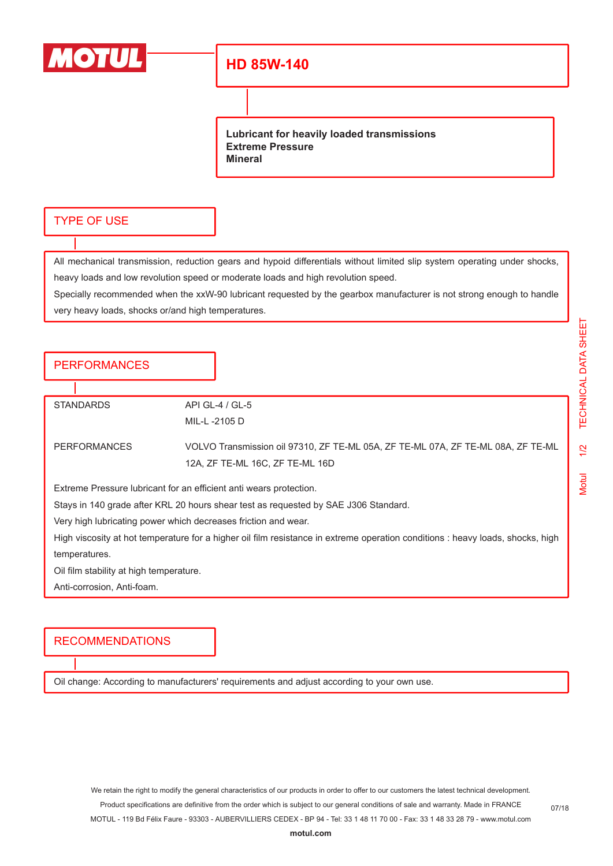

## **HD 85W-140**

**Lubricant for heavily loaded transmissions Extreme Pressure Mineral**

#### TYPE OF USE

All mechanical transmission, reduction gears and hypoid differentials without limited slip system operating under shocks, heavy loads and low revolution speed or moderate loads and high revolution speed.

Specially recommended when the xxW-90 lubricant requested by the gearbox manufacturer is not strong enough to handle very heavy loads, shocks or/and high temperatures.

### **PERFORMANCES**

STANDARDS API GL-4 / GL-5

MIL-L -2105 D

PERFORMANCES VOLVO Transmission oil 97310, ZF TE-ML 05A, ZF TE-ML 07A, ZF TE-ML 08A, ZF TE-ML 12A, ZF TE-ML 16C, ZF TE-ML 16D

Extreme Pressure lubricant for an efficient anti wears protection.

Stays in 140 grade after KRL 20 hours shear test as requested by SAE J306 Standard.

Very high lubricating power which decreases friction and wear.

High viscosity at hot temperature for a higher oil film resistance in extreme operation conditions : heavy loads, shocks, high temperatures.

Oil film stability at high temperature.

Anti-corrosion, Anti-foam.

#### RECOMMENDATIONS

Oil change: According to manufacturers' requirements and adjust according to your own use.

We retain the right to modify the general characteristics of our products in order to offer to our customers the latest technical development. Product specifications are definitive from the order which is subject to our general conditions of sale and warranty. Made in FRANCE MOTUL - 119 Bd Félix Faure - 93303 - AUBERVILLIERS CEDEX - BP 94 - Tel: 33 1 48 11 70 00 - Fax: 33 1 48 33 28 79 - www.motul.com

07/18